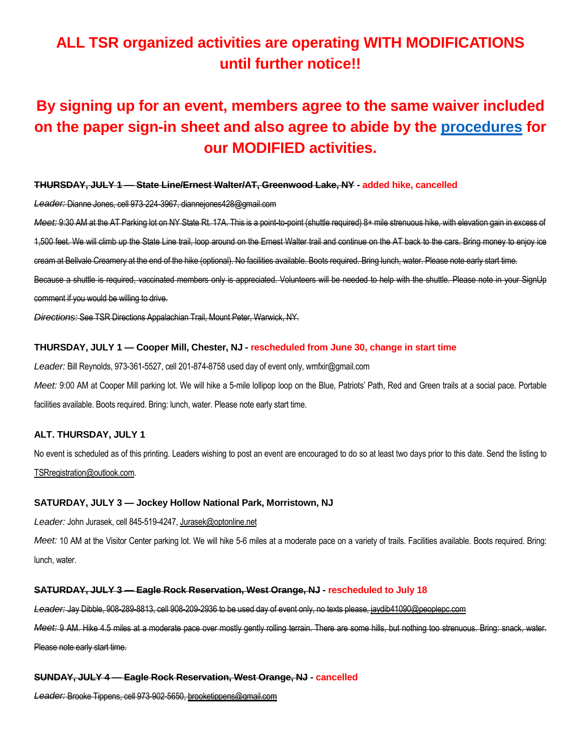# **ALL TSR organized activities are operating WITH MODIFICATIONS until further notice!!**

# **By signing up for an event, members agree to the same waiver included on the paper sign-in sheet and also agree to abide by the [procedures](https://5a563b5d-c9a2-443f-a97b-1fb65c38494e.usrfiles.com/ugd/5a563b_117d15c7ddb94dd7b01d342d48ba8484.pdf) for our MODIFIED activities.**

## **THURSDAY, JULY 1 — State Line/Ernest Walter/AT, Greenwood Lake, NY - added hike, cancelled**

*Leader:* Dianne Jones, cell 973-224-3967, diannejones428@gmail.com

*Meet:* 9:30 AM at the AT Parking lot on NY State Rt. 17A. This is a point-to-point (shuttle required) 8+ mile strenuous hike, with elevation gain in excess of 1,500 feet. We will climb up the State Line trail, loop around on the Ernest Walter trail and continue on the AT back to the cars. Bring money to enjoy ice cream at Bellvale Creamery at the end of the hike (optional). No facilities available. Boots required. Bring lunch, water. Please note early start time.

Because a shuttle is required, vaccinated members only is appreciated. Volunteers will be needed to help with the shuttle. Please note in your SignUp comment if you would be willing to drive.

*Directions:* See TSR Directions Appalachian Trail, Mount Peter, Warwick, NY.

## **THURSDAY, JULY 1 — Cooper Mill, Chester, NJ - rescheduled from June 30, change in start time**

*Leader:* Bill Reynolds, 973-361-5527, cell 201-874-8758 used day of event only, wmfxir@gmail.com

*Meet:* 9:00 AM at Cooper Mill parking lot. We will hike a 5-mile lollipop loop on the Blue, Patriots' Path, Red and Green trails at a social pace. Portable facilities available. Boots required. Bring: lunch, water. Please note early start time.

### **ALT. THURSDAY, JULY 1**

No event is scheduled as of this printing. Leaders wishing to post an event are encouraged to do so at least two days prior to this date. Send the listing to TSRregistration@outlook.com.

### **SATURDAY, JULY 3 — Jockey Hollow National Park, Morristown, NJ**

*Leader:* John Jurasek, cell 845-519-4247, Jurasek@optonline.net

*Meet:* 10 AM at the Visitor Center parking lot. We will hike 5-6 miles at a moderate pace on a variety of trails. Facilities available. Boots required. Bring: lunch, water.

### **SATURDAY, JULY 3 — Eagle Rock Reservation, West Orange, NJ - rescheduled to July 18**

*Leader:* Jay Dibble, 908-289-8813, cell 908-209-2936 to be used day of event only, no texts please, jaydib41090@peoplepc.com

*Meet:* 9 AM. Hike 4.5 miles at a moderate pace over mostly gently rolling terrain. There are some hills, but nothing too strenuous. Bring: snack, water. Please note early start time.

### **SUNDAY, JULY 4 — Eagle Rock Reservation, West Orange, NJ - cancelled**

*Leader:* Brooke Tippens, cell 973-902-5650, brooketippens@gmail.com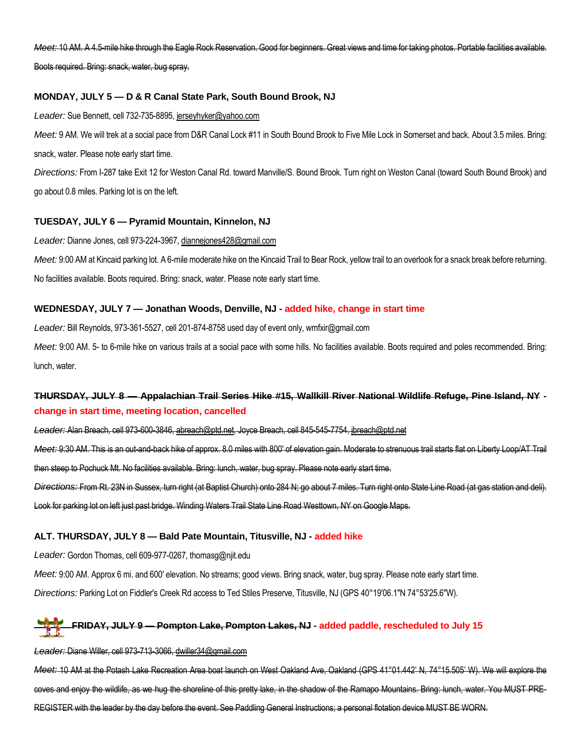*Meet:* 10 AM. A 4.5-mile hike through the Eagle Rock Reservation. Good for beginners. Great views and time for taking photos. Portable facilities available.

Boots required. Bring: snack, water, bug spray.

# **MONDAY, JULY 5 — D & R Canal State Park, South Bound Brook, NJ**

*Leader:* Sue Bennett, cell 732-735-8895, jerseyhyker@yahoo.com

*Meet:* 9 AM. We will trek at a social pace from D&R Canal Lock #11 in South Bound Brook to Five Mile Lock in Somerset and back. About 3.5 miles. Bring: snack, water. Please note early start time.

*Directions:* From I-287 take Exit 12 for Weston Canal Rd. toward Manville/S. Bound Brook. Turn right on Weston Canal (toward South Bound Brook) and go about 0.8 miles. Parking lot is on the left.

## **TUESDAY, JULY 6 — Pyramid Mountain, Kinnelon, NJ**

*Leader:* Dianne Jones, cell 973-224-3967, diannejones428@gmail.com

Meet: 9:00 AM at Kincaid parking lot. A 6-mile moderate hike on the Kincaid Trail to Bear Rock, yellow trail to an overlook for a snack break before returning. No facilities available. Boots required. Bring: snack, water. Please note early start time.

# **WEDNESDAY, JULY 7 — Jonathan Woods, Denville, NJ - added hike, change in start time**

*Leader:* Bill Reynolds, 973-361-5527, cell 201-874-8758 used day of event only, wmfxir@gmail.com

*Meet:* 9:00 AM. 5- to 6-mile hike on various trails at a social pace with some hills. No facilities available. Boots required and poles recommended. Bring: lunch, water.

# **THURSDAY, JULY 8 — Appalachian Trail Series Hike #15, Wallkill River National Wildlife Refuge, Pine Island, NY change in start time, meeting location, cancelled**

*Leader:* Alan Breach, cell 973-600-3846, abreach@ptd.net, Joyce Breach, cell 845-545-7754, jbreach@ptd.net *Meet:* 9:30 AM. This is an out-and-back hike of approx. 8.0 miles with 800' of elevation gain. Moderate to strenuous trail starts flat on Liberty Loop/AT Trail then steep to Pochuck Mt. No facilities available. Bring: lunch, water, bug spray. Please note early start time. *Directions:* From Rt. 23N in Sussex, turn right (at Baptist Church) onto 284 N; go about 7 miles. Turn right onto State Line Road (at gas station and deli). Look for parking lot on left just past bridge. Winding Waters Trail State Line Road Westtown, NY on Google Maps.

# **ALT. THURSDAY, JULY 8 — Bald Pate Mountain, Titusville, NJ - added hike**

*Leader:* Gordon Thomas, cell 609-977-0267, thomasg@njit.edu

*Meet:* 9:00 AM. Approx 6 mi. and 600' elevation. No streams; good views. Bring snack, water, bug spray. Please note early start time.

*Directions:* Parking Lot on Fiddler's Creek Rd access to Ted Stiles Preserve, Titusville, NJ (GPS 40°19'06.1"N 74°53'25.6"W).

# **FRIDAY, JULY 9 — Pompton Lake, Pompton Lakes, NJ - added paddle, rescheduled to July 15**

## *Leader:* Diane Willer, cell 973-713-3066, dwiller34@gmail.com

*Meet:* 10 AM at the Potash Lake Recreation Area boat launch on West Oakland Ave, Oakland (GPS 41°01.442' N, 74°15.505' W). We will explore the coves and enjoy the wildlife, as we hug the shoreline of this pretty lake, in the shadow of the Ramapo Mountains. Bring: lunch, water. You MUST PRE-REGISTER with the leader by the day before the event. See Paddling General Instructions; a personal flotation device MUST BE WORN.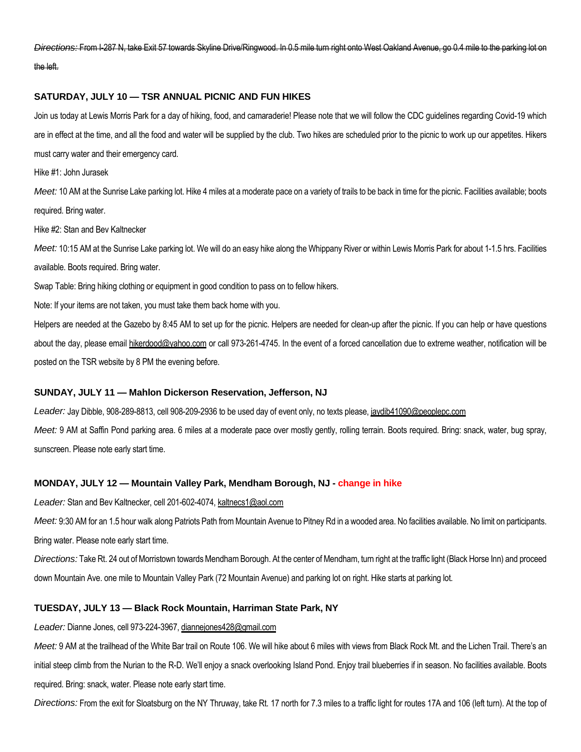*Directions:* From I-287 N, take Exit 57 towards Skyline Drive/Ringwood. In 0.5 mile turn right onto West Oakland Avenue, go 0.4 mile to the parking lot on the left.

## **SATURDAY, JULY 10 — TSR ANNUAL PICNIC AND FUN HIKES**

Join us today at Lewis Morris Park for a day of hiking, food, and camaraderie! Please note that we will follow the CDC guidelines regarding Covid-19 which are in effect at the time, and all the food and water will be supplied by the club. Two hikes are scheduled prior to the picnic to work up our appetites. Hikers must carry water and their emergency card.

Hike #1: John Jurasek

*Meet:* 10 AM at the Sunrise Lake parking lot. Hike 4 miles at a moderate pace on a variety of trails to be back in time for the picnic. Facilities available; boots required. Bring water.

Hike #2: Stan and Bev Kaltnecker

*Meet:* 10:15 AM at the Sunrise Lake parking lot. We will do an easy hike along the Whippany River or within Lewis Morris Park for about 1-1.5 hrs. Facilities available. Boots required. Bring water.

Swap Table: Bring hiking clothing or equipment in good condition to pass on to fellow hikers.

Note: If your items are not taken, you must take them back home with you.

Helpers are needed at the Gazebo by 8:45 AM to set up for the picnic. Helpers are needed for clean-up after the picnic. If you can help or have questions about the day, please email hikerdood@yahoo.com or call 973-261-4745. In the event of a forced cancellation due to extreme weather, notification will be posted on the TSR website by 8 PM the evening before.

### **SUNDAY, JULY 11 — Mahlon Dickerson Reservation, Jefferson, NJ**

*Leader:* Jay Dibble, 908-289-8813, cell 908-209-2936 to be used day of event only, no texts please, jaydib41090@peoplepc.com

*Meet:* 9 AM at Saffin Pond parking area. 6 miles at a moderate pace over mostly gently, rolling terrain. Boots required. Bring: snack, water, bug spray, sunscreen. Please note early start time.

### **MONDAY, JULY 12 — Mountain Valley Park, Mendham Borough, NJ - change in hike**

*Leader:* Stan and Bev Kaltnecker, cell 201-602-4074, kaltnecs1@aol.com

Meet: 9:30 AM for an 1.5 hour walk along Patriots Path from Mountain Avenue to Pitney Rd in a wooded area. No facilities available. No limit on participants. Bring water. Please note early start time.

*Directions:* Take Rt. 24 out of Morristown towards Mendham Borough. At the center of Mendham, turn right at the traffic light (Black Horse Inn) and proceed down Mountain Ave. one mile to Mountain Valley Park (72 Mountain Avenue) and parking lot on right. Hike starts at parking lot.

### **TUESDAY, JULY 13 — Black Rock Mountain, Harriman State Park, NY**

*Leader:* Dianne Jones, cell 973-224-3967, diannejones428@gmail.com

*Meet:* 9 AM at the trailhead of the White Bar trail on Route 106. We will hike about 6 miles with views from Black Rock Mt. and the Lichen Trail. There's an initial steep climb from the Nurian to the R-D. We'll enjoy a snack overlooking Island Pond. Enjoy trail blueberries if in season. No facilities available. Boots required. Bring: snack, water. Please note early start time.

*Directions:* From the exit for Sloatsburg on the NY Thruway, take Rt. 17 north for 7.3 miles to a traffic light for routes 17A and 106 (left turn). At the top of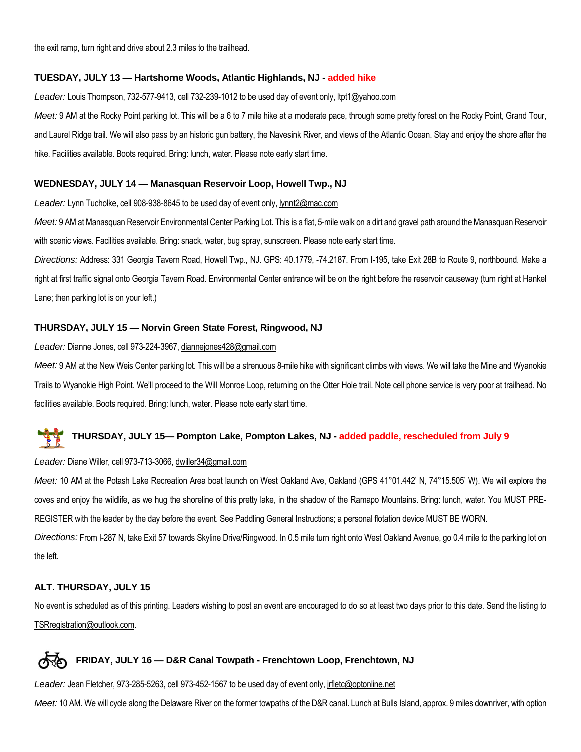the exit ramp, turn right and drive about 2.3 miles to the trailhead.

## **TUESDAY, JULY 13 — Hartshorne Woods, Atlantic Highlands, NJ - added hike**

*Leader:* Louis Thompson, 732-577-9413, cell 732-239-1012 to be used day of event only, ltpt1@yahoo.com *Meet:* 9 AM at the Rocky Point parking lot. This will be a 6 to 7 mile hike at a moderate pace, through some pretty forest on the Rocky Point, Grand Tour, and Laurel Ridge trail. We will also pass by an historic gun battery, the Navesink River, and views of the Atlantic Ocean. Stay and enjoy the shore after the hike. Facilities available. Boots required. Bring: lunch, water. Please note early start time.

## **WEDNESDAY, JULY 14 — Manasquan Reservoir Loop, Howell Twp., NJ**

*Leader:* Lynn Tucholke, cell 908-938-8645 to be used day of event only, lynnt2@mac.com

*Meet:* 9 AM at Manasquan Reservoir Environmental Center Parking Lot. This is a flat, 5-mile walk on a dirt and gravel path around the Manasquan Reservoir with scenic views. Facilities available. Bring: snack, water, bug spray, sunscreen. Please note early start time.

*Directions:* Address: 331 Georgia Tavern Road, Howell Twp., NJ. GPS: 40.1779, -74.2187. From I-195, take Exit 28B to Route 9, northbound. Make a right at first traffic signal onto Georgia Tavern Road. Environmental Center entrance will be on the right before the reservoir causeway (turn right at Hankel Lane; then parking lot is on your left.)

## **THURSDAY, JULY 15 — Norvin Green State Forest, Ringwood, NJ**

### *Leader:* Dianne Jones, cell 973-224-3967, diannejones428@gmail.com

*Meet:* 9 AM at the New Weis Center parking lot. This will be a strenuous 8-mile hike with significant climbs with views. We will take the Mine and Wyanokie Trails to Wyanokie High Point. We'll proceed to the Will Monroe Loop, returning on the Otter Hole trail. Note cell phone service is very poor at trailhead. No facilities available. Boots required. Bring: lunch, water. Please note early start time.

# **THURSDAY, JULY 15— Pompton Lake, Pompton Lakes, NJ - added paddle, rescheduled from July 9**

## *Leader:* Diane Willer, cell 973-713-3066, dwiller34@gmail.com

*Meet:* 10 AM at the Potash Lake Recreation Area boat launch on West Oakland Ave, Oakland (GPS 41°01.442' N, 74°15.505' W). We will explore the coves and enjoy the wildlife, as we hug the shoreline of this pretty lake, in the shadow of the Ramapo Mountains. Bring: lunch, water. You MUST PRE-REGISTER with the leader by the day before the event. See Paddling General Instructions; a personal flotation device MUST BE WORN.

*Directions:* From I-287 N, take Exit 57 towards Skyline Drive/Ringwood. In 0.5 mile turn right onto West Oakland Avenue, go 0.4 mile to the parking lot on the left.

## **ALT. THURSDAY, JULY 15**

No event is scheduled as of this printing. Leaders wishing to post an event are encouraged to do so at least two days prior to this date. Send the listing to TSRregistration@outlook.com.

# **FRIDAY, JULY 16 — D&R Canal Towpath - Frenchtown Loop, Frenchtown, NJ**

Leader: Jean Fletcher, 973-285-5263, cell 973-452-1567 to be used day of event only, *jrfletc@optonline.net* 

*Meet:* 10 AM. We will cycle along the Delaware River on the former towpaths of the D&R canal. Lunch at Bulls Island, approx. 9 miles downriver, with option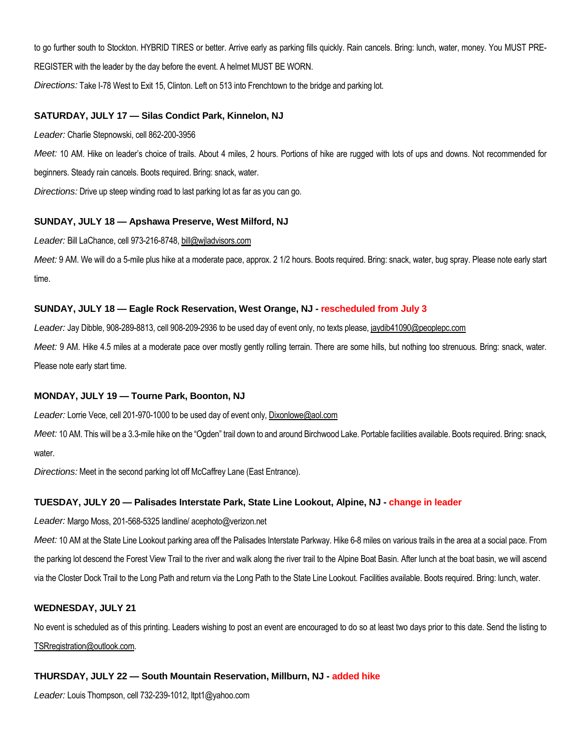to go further south to Stockton. HYBRID TIRES or better. Arrive early as parking fills quickly. Rain cancels. Bring: lunch, water, money. You MUST PRE-REGISTER with the leader by the day before the event. A helmet MUST BE WORN.

*Directions:* Take I-78 West to Exit 15, Clinton. Left on 513 into Frenchtown to the bridge and parking lot.

# **SATURDAY, JULY 17 — Silas Condict Park, Kinnelon, NJ**

*Leader:* Charlie Stepnowski, cell 862-200-3956

*Meet:* 10 AM. Hike on leader's choice of trails. About 4 miles, 2 hours. Portions of hike are rugged with lots of ups and downs. Not recommended for beginners. Steady rain cancels. Boots required. Bring: snack, water.

*Directions:* Drive up steep winding road to last parking lot as far as you can go.

# **SUNDAY, JULY 18 — Apshawa Preserve, West Milford, NJ**

*Leader:* Bill LaChance, cell 973-216-8748, bill@wjladvisors.com

*Meet:* 9 AM. We will do a 5-mile plus hike at a moderate pace, approx. 2 1/2 hours. Boots required. Bring: snack, water, bug spray. Please note early start time.

# **SUNDAY, JULY 18 — Eagle Rock Reservation, West Orange, NJ - rescheduled from July 3**

Leader: Jay Dibble, 908-289-8813, cell 908-209-2936 to be used day of event only, no texts please, jaydib41090@peoplepc.com

*Meet:* 9 AM. Hike 4.5 miles at a moderate pace over mostly gently rolling terrain. There are some hills, but nothing too strenuous. Bring: snack, water. Please note early start time.

# **MONDAY, JULY 19 — Tourne Park, Boonton, NJ**

*Leader:* Lorrie Vece, cell 201-970-1000 to be used day of event only, Dixonlowe@aol.com

*Meet:* 10 AM. This will be a 3.3-mile hike on the "Ogden" trail down to and around Birchwood Lake. Portable facilities available. Boots required. Bring: snack, water.

*Directions:* Meet in the second parking lot off McCaffrey Lane (East Entrance).

# **TUESDAY, JULY 20 — Palisades Interstate Park, State Line Lookout, Alpine, NJ - change in leader**

*Leader:* Margo Moss, 201-568-5325 landline/ acephoto@verizon.net

*Meet:* 10 AM at the State Line Lookout parking area off the Palisades Interstate Parkway. Hike 6-8 miles on various trails in the area at a social pace. From the parking lot descend the Forest View Trail to the river and walk along the river trail to the Alpine Boat Basin. After lunch at the boat basin, we will ascend via the Closter Dock Trail to the Long Path and return via the Long Path to the State Line Lookout. Facilities available. Boots required. Bring: lunch, water.

# **WEDNESDAY, JULY 21**

No event is scheduled as of this printing. Leaders wishing to post an event are encouraged to do so at least two days prior to this date. Send the listing to TSRregistration@outlook.com.

# **THURSDAY, JULY 22 — South Mountain Reservation, Millburn, NJ - added hike**

*Leader:* Louis Thompson, cell 732-239-1012, ltpt1@yahoo.com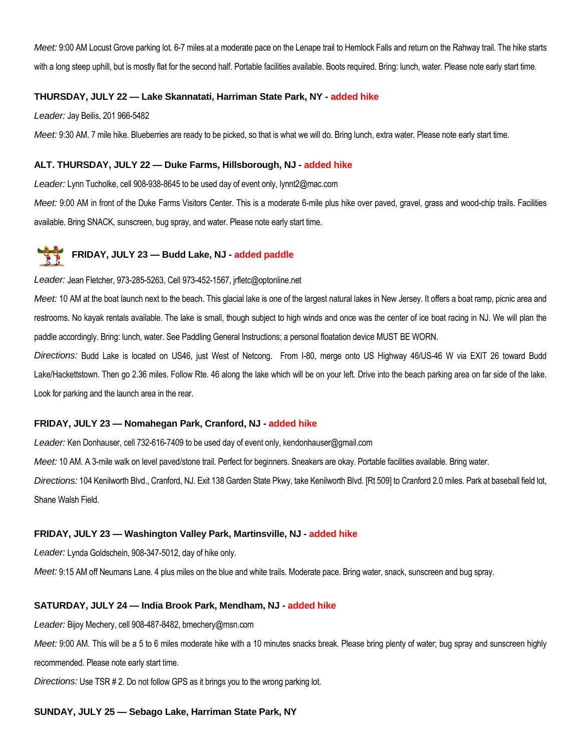*Meet:* 9:00 AM Locust Grove parking lot. 6-7 miles at a moderate pace on the Lenape trail to Hemlock Falls and return on the Rahway trail. The hike starts with a long steep uphill, but is mostly flat for the second half. Portable facilities available. Boots required. Bring: lunch, water. Please note early start time.

## **THURSDAY, JULY 22 — Lake Skannatati, Harriman State Park, NY - added hike**

*Leader:* Jay Beilis, 201 966-5482

*Meet:* 9:30 AM. 7 mile hike. Blueberries are ready to be picked, so that is what we will do. Bring lunch, extra water. Please note early start time.

## **ALT. THURSDAY, JULY 22 — Duke Farms, Hillsborough, NJ - added hike**

*Leader:* Lynn Tucholke, cell 908-938-8645 to be used day of event only, lynnt2@mac.com

Meet: 9:00 AM in front of the Duke Farms Visitors Center. This is a moderate 6-mile plus hike over paved, gravel, grass and wood-chip trails. Facilities available. Bring SNACK, sunscreen, bug spray, and water. Please note early start time.

# **FRIDAY, JULY 23 — Budd Lake, NJ - added paddle**

### *Leader:* Jean Fletcher, 973-285-5263, Cell 973-452-1567, jrfletc@optonline.net

*Meet:* 10 AM at the boat launch next to the beach. This glacial lake is one of the largest natural lakes in New Jersey. It offers a boat ramp, picnic area and restrooms. No kayak rentals available. The lake is small, though subject to high winds and once was the center of ice boat racing in NJ. We will plan the paddle accordingly. Bring: lunch, water. See Paddling General Instructions; a personal floatation device MUST BE WORN.

*Directions:* Budd Lake is located on US46, just West of Netcong. From I-80, merge onto US Highway 46/US-46 W via EXIT 26 toward Budd Lake/Hackettstown. Then go 2.36 miles. Follow Rte. 46 along the lake which will be on your left. Drive into the beach parking area on far side of the lake. Look for parking and the launch area in the rear.

### **FRIDAY, JULY 23 — Nomahegan Park, Cranford, NJ - added hike**

*Leader:* Ken Donhauser, cell 732-616-7409 to be used day of event only, kendonhauser@gmail.com

*Meet:* 10 AM. A 3-mile walk on level paved/stone trail. Perfect for beginners. Sneakers are okay. Portable facilities available. Bring water.

*Directions:* 104 Kenilworth Blvd., Cranford, NJ. Exit 138 Garden State Pkwy, take Kenilworth Blvd. [Rt 509] to Cranford 2.0 miles. Park at baseball field lot, Shane Walsh Field.

### **FRIDAY, JULY 23 — Washington Valley Park, Martinsville, NJ - added hike**

*Leader:* Lynda Goldschein, 908-347-5012, day of hike only.

*Meet:* 9:15 AM off Neumans Lane. 4 plus miles on the blue and white trails. Moderate pace. Bring water, snack, sunscreen and bug spray.

## **SATURDAY, JULY 24 — India Brook Park, Mendham, NJ - added hike**

*Leader:* Bijoy Mechery, cell 908-487-8482, bmechery@msn.com

*Meet:* 9:00 AM. This will be a 5 to 6 miles moderate hike with a 10 minutes snacks break. Please bring plenty of water; bug spray and sunscreen highly recommended. Please note early start time.

*Directions:* Use TSR # 2. Do not follow GPS as it brings you to the wrong parking lot.

### **SUNDAY, JULY 25 — Sebago Lake, Harriman State Park, NY**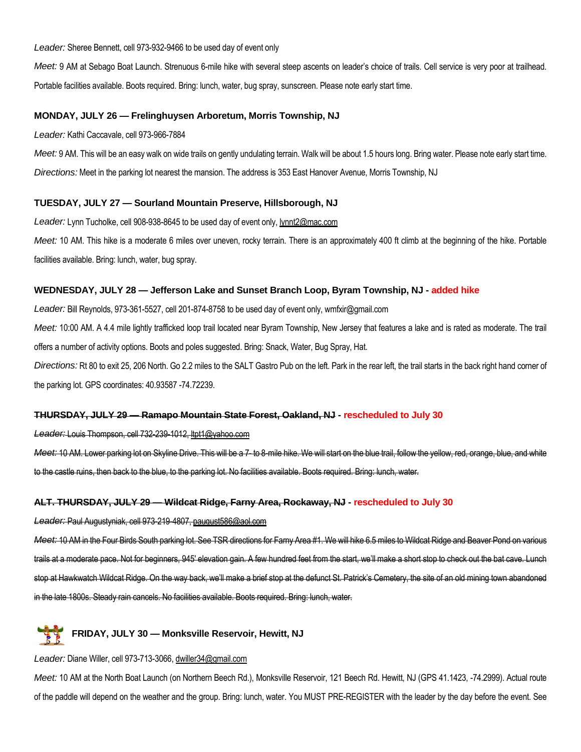*Leader:* Sheree Bennett, cell 973-932-9466 to be used day of event only

*Meet:* 9 AM at Sebago Boat Launch. Strenuous 6-mile hike with several steep ascents on leader's choice of trails. Cell service is very poor at trailhead. Portable facilities available. Boots required. Bring: lunch, water, bug spray, sunscreen. Please note early start time.

## **MONDAY, JULY 26 — Frelinghuysen Arboretum, Morris Township, NJ**

*Leader:* Kathi Caccavale, cell 973-966-7884

*Meet:* 9 AM. This will be an easy walk on wide trails on gently undulating terrain. Walk will be about 1.5 hours long. Bring water. Please note early start time. *Directions:* Meet in the parking lot nearest the mansion. The address is 353 East Hanover Avenue, Morris Township, NJ

## **TUESDAY, JULY 27 — Sourland Mountain Preserve, Hillsborough, NJ**

*Leader:* Lynn Tucholke, cell 908-938-8645 to be used day of event only, lynnt2@mac.com

*Meet:* 10 AM. This hike is a moderate 6 miles over uneven, rocky terrain. There is an approximately 400 ft climb at the beginning of the hike. Portable facilities available. Bring: lunch, water, bug spray.

## **WEDNESDAY, JULY 28 — Jefferson Lake and Sunset Branch Loop, Byram Township, NJ - added hike**

*Leader:* Bill Reynolds, 973-361-5527, cell 201-874-8758 to be used day of event only, wmfxir@gmail.com

*Meet:* 10:00 AM. A 4.4 mile lightly trafficked loop trail located near Byram Township, New Jersey that features a lake and is rated as moderate. The trail offers a number of activity options. Boots and poles suggested. Bring: Snack, Water, Bug Spray, Hat.

*Directions:* Rt 80 to exit 25, 206 North. Go 2.2 miles to the SALT Gastro Pub on the left. Park in the rear left, the trail starts in the back right hand corner of the parking lot. GPS coordinates: 40.93587 -74.72239.

### **THURSDAY, JULY 29 — Ramapo Mountain State Forest, Oakland, NJ - rescheduled to July 30**

*Leader:* Louis Thompson, cell 732-239-1012, ltpt1@yahoo.com

*Meet:* 10 AM. Lower parking lot on Skyline Drive. This will be a 7- to 8-mile hike. We will start on the blue trail, follow the yellow, red, orange, blue, and white to the castle ruins, then back to the blue, to the parking lot. No facilities available. Boots required. Bring: lunch, water.

### **ALT. THURSDAY, JULY 29 — Wildcat Ridge, Farny Area, Rockaway, NJ - rescheduled to July 30**

*Leader:* Paul Augustyniak, cell 973-219-4807, paugust586@aol.com

*Meet:* 10 AM in the Four Birds South parking lot. See TSR directions for Farny Area #1. We will hike 6.5 miles to Wildcat Ridge and Beaver Pond on various trails at a moderate pace. Not for beginners, 945' elevation gain. A few hundred feet from the start, we'll make a short stop to check out the bat cave. Lunch stop at Hawkwatch Wildcat Ridge. On the way back, we'll make a brief stop at the defunct St. Patrick's Cemetery, the site of an old mining town abandoned in the late 1800s. Steady rain cancels. No facilities available. Boots required. Bring: lunch, water.



### *Leader:* Diane Willer, cell 973-713-3066, dwiller34@gmail.com

*Meet:* 10 AM at the North Boat Launch (on Northern Beech Rd.), Monksville Reservoir, 121 Beech Rd. Hewitt, NJ (GPS 41.1423, -74.2999). Actual route of the paddle will depend on the weather and the group. Bring: lunch, water. You MUST PRE-REGISTER with the leader by the day before the event. See